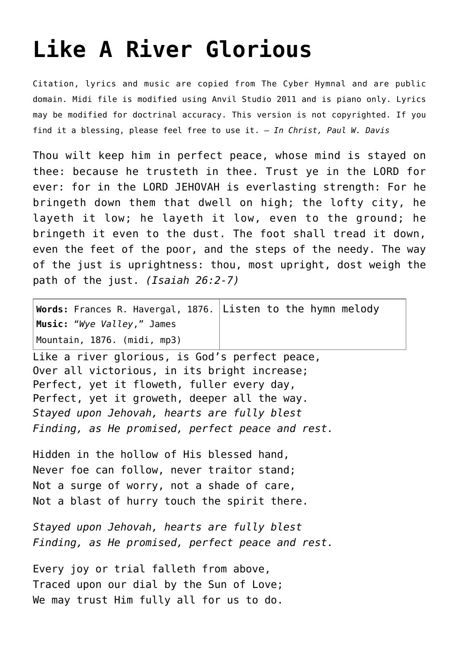## **[Like A River Glorious](http://reproachofmen.org/hymns-and-music/like-a-river-glorious/)**

Citation, lyrics and music are copied from [The Cyber Hymnal](http://www.hymntime.com/tch/) and are public domain. Midi file is modified using Anvil Studio 2011 and is piano only. Lyrics may be modified for doctrinal accuracy. This version is not copyrighted. If you find it a blessing, please feel free to use it. — *In Christ, Paul W. Davis*

Thou wilt keep him in perfect peace, whose mind is stayed on thee: because he trusteth in thee. Trust ye in the LORD for ever: for in the LORD JEHOVAH is everlasting strength: For he bringeth down them that dwell on high; the lofty city, he layeth it low; he layeth it low, even to the ground; he bringeth it even to the dust. The foot shall tread it down, even the feet of the poor, and the steps of the needy. The way of the just is uprightness: thou, most upright, dost weigh the path of the just. *(Isaiah 26:2-7)*

| Words: Frances R. Havergal, 1876. Listen to the hymn melody |  |
|-------------------------------------------------------------|--|
| Music: "Wye Valley," James                                  |  |
| Mountain, 1876. (midi, mp3)                                 |  |

Like a river glorious, is God's perfect peace, Over all victorious, in its bright increase; Perfect, yet it floweth, fuller every day, Perfect, yet it groweth, deeper all the way. *Stayed upon Jehovah, hearts are fully blest Finding, as He promised, perfect peace and rest.*

Hidden in the hollow of His blessed hand, Never foe can follow, never traitor stand; Not a surge of worry, not a shade of care, Not a blast of hurry touch the spirit there.

*Stayed upon Jehovah, hearts are fully blest Finding, as He promised, perfect peace and rest.*

Every joy or trial falleth from above, Traced upon our dial by the Sun of Love; We may trust Him fully all for us to do.